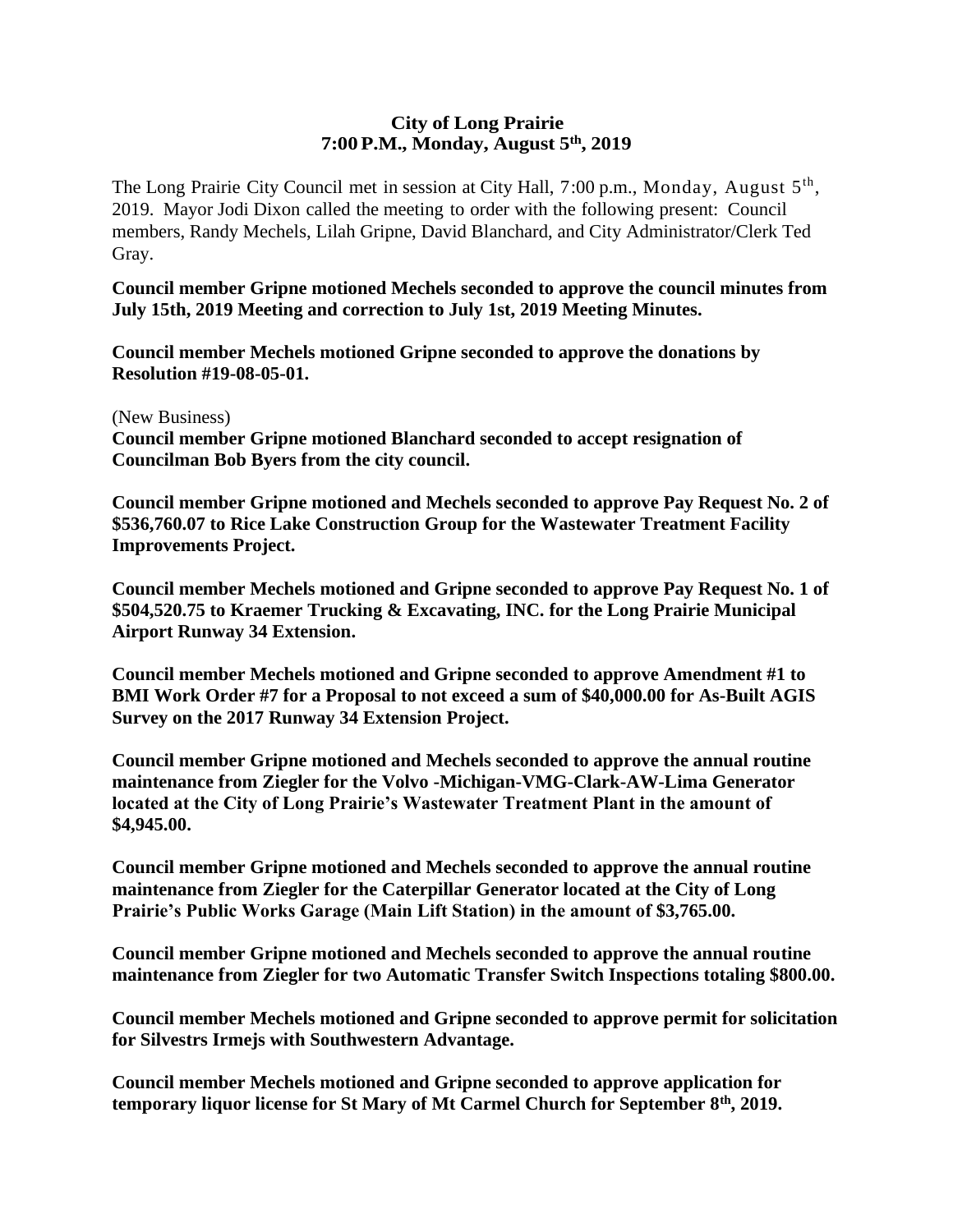## **City of Long Prairie 7:00P.M., Monday, August 5th , 2019**

The Long Prairie City Council met in session at City Hall, 7:00 p.m., Monday, August 5<sup>th</sup>, 2019. Mayor Jodi Dixon called the meeting to order with the following present: Council members, Randy Mechels, Lilah Gripne, David Blanchard, and City Administrator/Clerk Ted Gray.

**Council member Gripne motioned Mechels seconded to approve the council minutes from July 15th, 2019 Meeting and correction to July 1st, 2019 Meeting Minutes.**

**Council member Mechels motioned Gripne seconded to approve the donations by Resolution #19-08-05-01.** 

(New Business)

**Council member Gripne motioned Blanchard seconded to accept resignation of Councilman Bob Byers from the city council.**

**Council member Gripne motioned and Mechels seconded to approve Pay Request No. 2 of \$536,760.07 to Rice Lake Construction Group for the Wastewater Treatment Facility Improvements Project.**

**Council member Mechels motioned and Gripne seconded to approve Pay Request No. 1 of \$504,520.75 to Kraemer Trucking & Excavating, INC. for the Long Prairie Municipal Airport Runway 34 Extension.** 

**Council member Mechels motioned and Gripne seconded to approve Amendment #1 to BMI Work Order #7 for a Proposal to not exceed a sum of \$40,000.00 for As-Built AGIS Survey on the 2017 Runway 34 Extension Project.** 

**Council member Gripne motioned and Mechels seconded to approve the annual routine maintenance from Ziegler for the Volvo -Michigan-VMG-Clark-AW-Lima Generator located at the City of Long Prairie's Wastewater Treatment Plant in the amount of \$4,945.00.**

**Council member Gripne motioned and Mechels seconded to approve the annual routine maintenance from Ziegler for the Caterpillar Generator located at the City of Long Prairie's Public Works Garage (Main Lift Station) in the amount of \$3,765.00.**

**Council member Gripne motioned and Mechels seconded to approve the annual routine maintenance from Ziegler for two Automatic Transfer Switch Inspections totaling \$800.00.**

**Council member Mechels motioned and Gripne seconded to approve permit for solicitation for Silvestrs Irmejs with Southwestern Advantage.**

**Council member Mechels motioned and Gripne seconded to approve application for temporary liquor license for St Mary of Mt Carmel Church for September 8th, 2019.**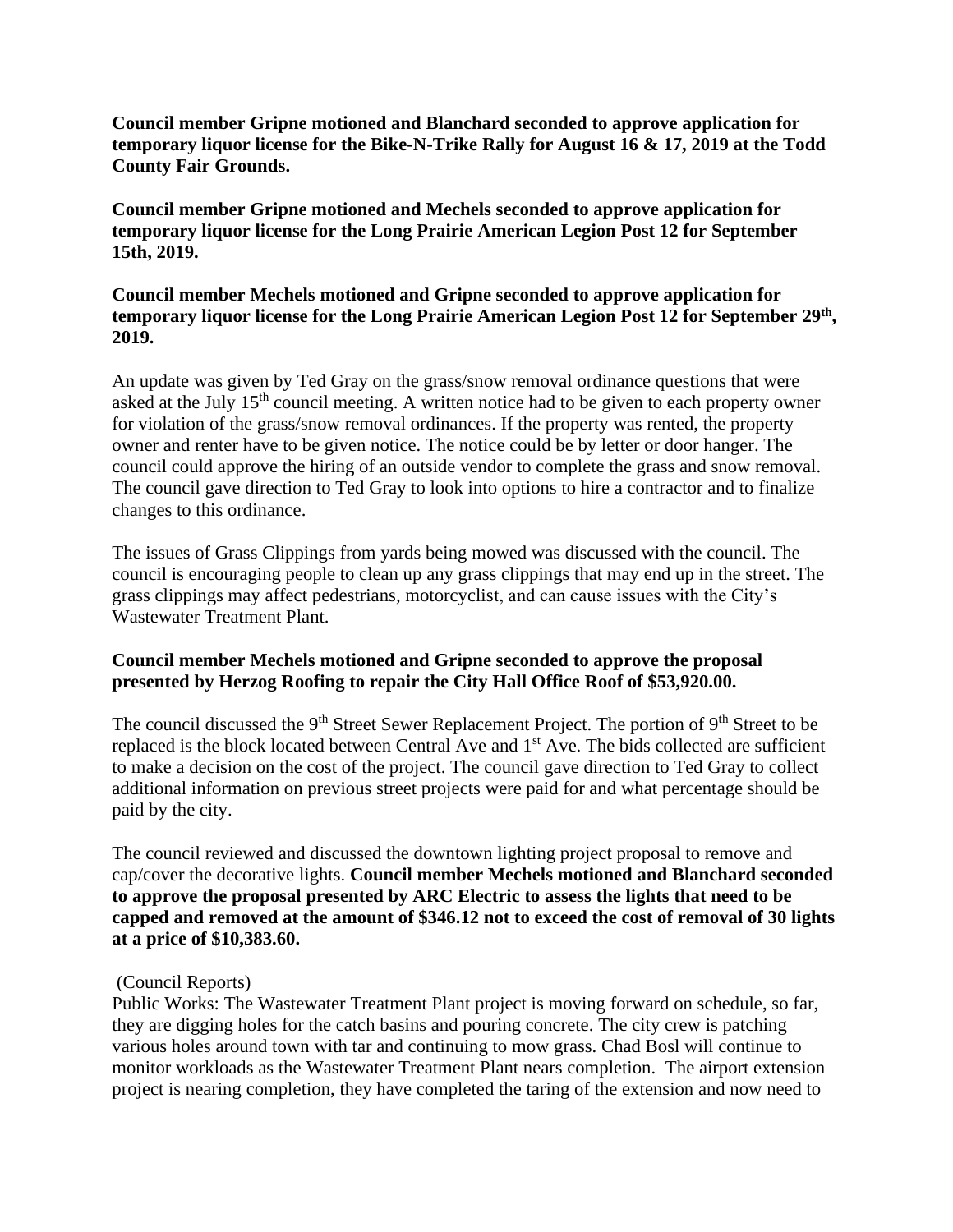**Council member Gripne motioned and Blanchard seconded to approve application for temporary liquor license for the Bike-N-Trike Rally for August 16 & 17, 2019 at the Todd County Fair Grounds.**

**Council member Gripne motioned and Mechels seconded to approve application for temporary liquor license for the Long Prairie American Legion Post 12 for September 15th, 2019.**

## **Council member Mechels motioned and Gripne seconded to approve application for temporary liquor license for the Long Prairie American Legion Post 12 for September 29th , 2019.**

An update was given by Ted Gray on the grass/snow removal ordinance questions that were asked at the July 15<sup>th</sup> council meeting. A written notice had to be given to each property owner for violation of the grass/snow removal ordinances. If the property was rented, the property owner and renter have to be given notice. The notice could be by letter or door hanger. The council could approve the hiring of an outside vendor to complete the grass and snow removal. The council gave direction to Ted Gray to look into options to hire a contractor and to finalize changes to this ordinance.

The issues of Grass Clippings from yards being mowed was discussed with the council. The council is encouraging people to clean up any grass clippings that may end up in the street. The grass clippings may affect pedestrians, motorcyclist, and can cause issues with the City's Wastewater Treatment Plant.

## **Council member Mechels motioned and Gripne seconded to approve the proposal presented by Herzog Roofing to repair the City Hall Office Roof of \$53,920.00.**

The council discussed the 9<sup>th</sup> Street Sewer Replacement Project. The portion of 9<sup>th</sup> Street to be replaced is the block located between Central Ave and 1<sup>st</sup> Ave. The bids collected are sufficient to make a decision on the cost of the project. The council gave direction to Ted Gray to collect additional information on previous street projects were paid for and what percentage should be paid by the city.

The council reviewed and discussed the downtown lighting project proposal to remove and cap/cover the decorative lights. **Council member Mechels motioned and Blanchard seconded to approve the proposal presented by ARC Electric to assess the lights that need to be capped and removed at the amount of \$346.12 not to exceed the cost of removal of 30 lights at a price of \$10,383.60.** 

## (Council Reports)

Public Works: The Wastewater Treatment Plant project is moving forward on schedule, so far, they are digging holes for the catch basins and pouring concrete. The city crew is patching various holes around town with tar and continuing to mow grass. Chad Bosl will continue to monitor workloads as the Wastewater Treatment Plant nears completion. The airport extension project is nearing completion, they have completed the taring of the extension and now need to